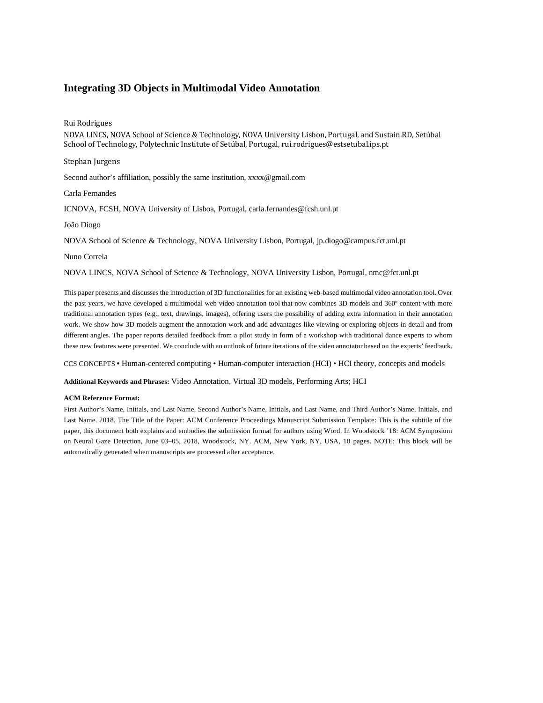# **Integrating 3D Objects in Multimodal Video Annotation**

Rui Rodrigues

NOVA LINCS, NOVA School of Science & Technology, NOVA University Lisbon, Portugal, and Sustain.RD, Setúbal School of Technology, Polytechnic Institute of Setúbal, Portugal, rui.rodrigues@estsetubal.ips.pt

Stephan Jurgens

Second author's affiliation, possibly the same institution[, xxxx@gmail.com](mailto:xxxx@gmail.com)

Carla Fernandes

ICNOVA, FCSH, NOVA University of Lisboa, Portugal, carla.fernandes@fcsh.unl.pt

João Diogo

NOVA School of Science & Technology, NOVA University Lisbon, Portugal, jp.diogo@campus.fct.unl.pt

Nuno Correia

NOVA LINCS, NOVA School of Science & Technology, NOVA University Lisbon, Portugal, nmc@fct.unl.pt

This paper presents and discusses the introduction of 3D functionalities for an existing web-based multimodal video annotation tool. Over the past years, we have developed a multimodal web video annotation tool that now combines 3D models and 360º content with more traditional annotation types (e.g., text, drawings, images), offering users the possibility of adding extra information in their annotation work. We show how 3D models augment the annotation work and add advantages like viewing or exploring objects in detail and from different angles. The paper reports detailed feedback from a pilot study in form of a workshop with traditional dance experts to whom these new features were presented. We conclude with an outlook of future iterations of the video annotator based on the experts' feedback.

CCS CONCEPTS **•** Human-centered computing • Human-computer interaction (HCI) • HCI theory, concepts and models

**Additional Keywords and Phrases:** Video Annotation, Virtual 3D models, Performing Arts; HCI

#### **ACM Reference Format:**

First Author's Name, Initials, and Last Name, Second Author's Name, Initials, and Last Name, and Third Author's Name, Initials, and Last Name. 2018. The Title of the Paper: ACM Conference Proceedings Manuscript Submission Template: This is the subtitle of the paper, this document both explains and embodies the submission format for authors using Word. In Woodstock '18: ACM Symposium on Neural Gaze Detection, June 03–05, 2018, Woodstock, NY. ACM, New York, NY, USA, 10 pages. NOTE: This block will be automatically generated when manuscripts are processed after acceptance.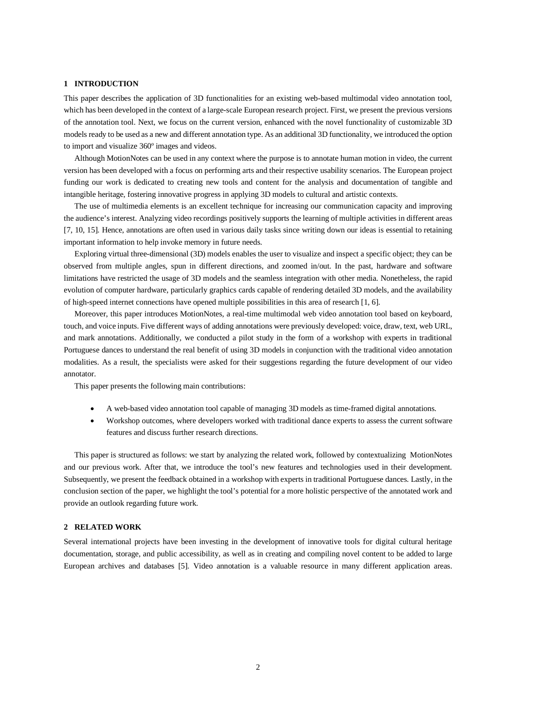## **1 INTRODUCTION**

This paper describes the application of 3D functionalities for an existing web-based multimodal video annotation tool, which has been developed in the context of a large-scale European research project. First, we present the previous versions of the annotation tool. Next, we focus on the current version, enhanced with the novel functionality of customizable 3D models ready to be used as a new and different annotation type. As an additional 3D functionality, we introduced the option to import and visualize 360º images and videos.

Although MotionNotes can be used in any context where the purpose is to annotate human motion in video, the current version has been developed with a focus on performing arts and their respective usability scenarios. The European project funding our work is dedicated to creating new tools and content for the analysis and documentation of tangible and intangible heritage, fostering innovative progress in applying 3D models to cultural and artistic contexts.

The use of multimedia elements is an excellent technique for increasing our communication capacity and improving the audience's interest. Analyzing video recordings positively supports the learning of multiple activities in different areas [7, 10, 15]. Hence, annotations are often used in various daily tasks since writing down our ideas is essential to retaining important information to help invoke memory in future needs.

Exploring virtual three-dimensional (3D) models enables the user to visualize and inspect a specific object; they can be observed from multiple angles, spun in different directions, and zoomed in/out. In the past, hardware and software limitations have restricted the usage of 3D models and the seamless integration with other media. Nonetheless, the rapid evolution of computer hardware, particularly graphics cards capable of rendering detailed 3D models, and the availability of high-speed internet connections have opened multiple possibilities in this area of research [1, 6].

Moreover, this paper introduces MotionNotes, a real-time multimodal web video annotation tool based on keyboard, touch, and voice inputs. Five different ways of adding annotations were previously developed: voice, draw, text, web URL, and mark annotations. Additionally, we conducted a pilot study in the form of a workshop with experts in traditional Portuguese dances to understand the real benefit of using 3D models in conjunction with the traditional video annotation modalities. As a result, the specialists were asked for their suggestions regarding the future development of our video annotator.

This paper presents the following main contributions:

- A web-based video annotation tool capable of managing 3D models as time-framed digital annotations.
- Workshop outcomes, where developers worked with traditional dance experts to assess the current software features and discuss further research directions.

This paper is structured as follows: we start by analyzing the related work, followed by contextualizing MotionNotes and our previous work. After that, we introduce the tool's new features and technologies used in their development. Subsequently, we present the feedback obtained in a workshop with experts in traditional Portuguese dances. Lastly, in the conclusion section of the paper, we highlight the tool's potential for a more holistic perspective of the annotated work and provide an outlook regarding future work.

# **2 RELATED WORK**

Several international projects have been investing in the development of innovative tools for digital cultural heritage documentation, storage, and public accessibility, as well as in creating and compiling novel content to be added to large European archives and databases [5]. Video annotation is a valuable resource in many different application areas.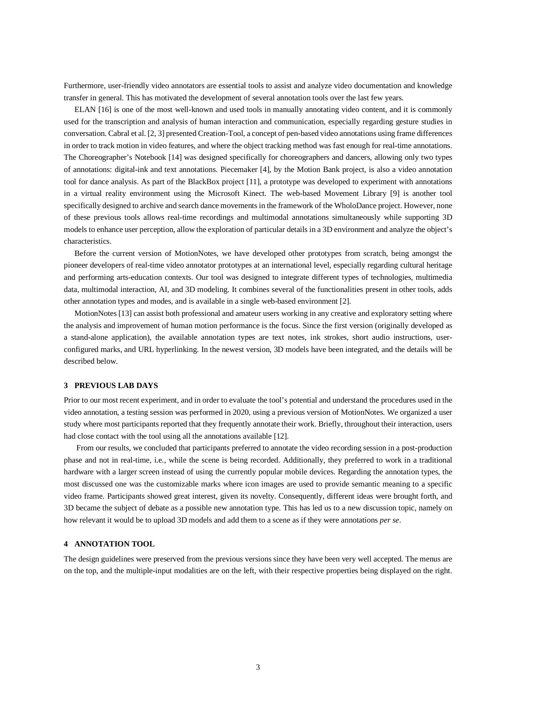Furthermore, user-friendly video annotators are essential tools to assist and analyze video documentation and knowledge transfer in general. This has motivated the development of several annotation tools over the last few years.

ELAN [16] is one of the most well-known and used tools in manually annotating video content, and it is commonly used for the transcription and analysis of human interaction and communication, especially regarding gesture studies in conversation. Cabral et al. [2, 3] presented Creation-Tool, a concept of pen-based video annotations using frame differences in order to track motion in video features, and where the object tracking method was fast enough for real-time annotations. The Choreographer's Notebook [14] was designed specifically for choreographers and dancers, allowing only two types of annotations: digital-ink and text annotations. Piecemaker [4], by the Motion Bank project, is also a video annotation tool for dance analysis. As part of the BlackBox project [11], a prototype was developed to experiment with annotations in a virtual reality environment using the Microsoft Kinect. The web-based Movement Library [9] is another tool specifically designed to archive and search dance movements in the framework of the WholoDance project. However, none of these previous tools allows real-time recordings and multimodal annotations simultaneously while supporting 3D models to enhance user perception, allow the exploration of particular details in a 3D environment and analyze the object's characteristics.

Before the current version of MotionNotes, we have developed other prototypes from scratch, being amongst the pioneer developers of real-time video annotator prototypes at an international level, especially regarding cultural heritage and performing arts-education contexts. Our tool was designed to integrate different types of technologies, multimedia data, multimodal interaction, AI, and 3D modeling. It combines several of the functionalities present in other tools, adds other annotation types and modes, and is available in a single web-based environment [2].

MotionNotes [13] can assist both professional and amateur users working in any creative and exploratory setting where the analysis and improvement of human motion performance is the focus. Since the first version (originally developed as a stand-alone application), the available annotation types are text notes, ink strokes, short audio instructions, userconfigured marks, and URL hyperlinking. In the newest version, 3D models have been integrated, and the details will be described below.

# **3 PREVIOUS LAB DAYS**

Prior to our most recent experiment, and in order to evaluate the tool's potential and understand the procedures used in the video annotation, a testing session was performed in 2020, using a previous version of MotionNotes. We organized a user study where most participants reported that they frequently annotate their work. Briefly, throughout their interaction, users had close contact with the tool using all the annotations available [12].

From our results, we concluded that participants preferred to annotate the video recording session in a post-production phase and not in real-time, i.e., while the scene is being recorded. Additionally, they preferred to work in a traditional hardware with a larger screen instead of using the currently popular mobile devices. Regarding the annotation types, the most discussed one was the customizable marks where icon images are used to provide semantic meaning to a specific video frame. Participants showed great interest, given its novelty. Consequently, different ideas were brought forth, and 3D became the subject of debate as a possible new annotation type. This has led us to a new discussion topic, namely on how relevant it would be to upload 3D models and add them to a scene as if they were annotations *per se*.

## **4 ANNOTATION TOOL**

The design guidelines were preserved from the previous versions since they have been very well accepted. The menus are on the top, and the multiple-input modalities are on the left, with their respective properties being displayed on the right.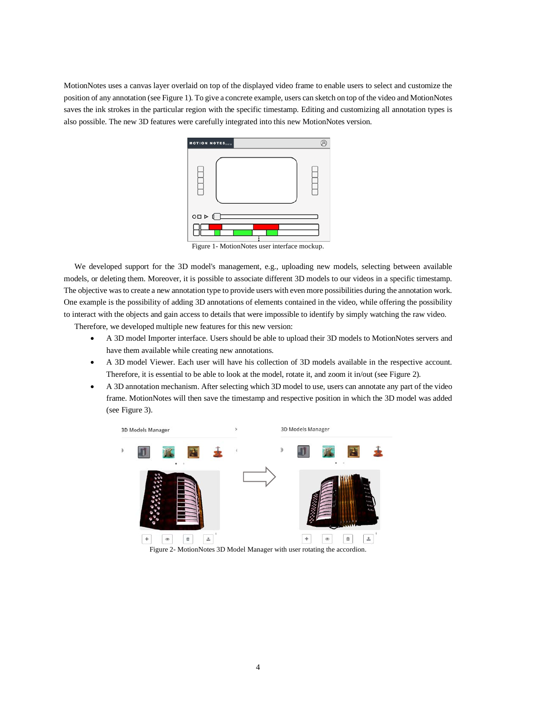MotionNotes uses a canvas layer overlaid on top of the displayed video frame to enable users to select and customize the position of any annotation (see Figure 1). To give a concrete example, users can sketch on top of the video and MotionNotes saves the ink strokes in the particular region with the specific timestamp. Editing and customizing all annotation types is also possible. The new 3D features were carefully integrated into this new MotionNotes version.



Figure 1- MotionNotes user interface mockup.

We developed support for the 3D model's management, e.g., uploading new models, selecting between available models, or deleting them. Moreover, it is possible to associate different 3D models to our videos in a specific timestamp. The objective was to create a new annotation type to provide users with even more possibilities during the annotation work. One example is the possibility of adding 3D annotations of elements contained in the video, while offering the possibility to interact with the objects and gain access to details that were impossible to identify by simply watching the raw video.

Therefore, we developed multiple new features for this new version:

- A 3D model Importer interface. Users should be able to upload their 3D models to MotionNotes servers and have them available while creating new annotations.
- A 3D model Viewer. Each user will have his collection of 3D models available in the respective account. Therefore, it is essential to be able to look at the model, rotate it, and zoom it in/out (see Figure 2).
- A 3D annotation mechanism. After selecting which 3D model to use, users can annotate any part of the video frame. MotionNotes will then save the timestamp and respective position in which the 3D model was added (see Figure 3).



Figure 2- MotionNotes 3D Model Manager with user rotating the accordion.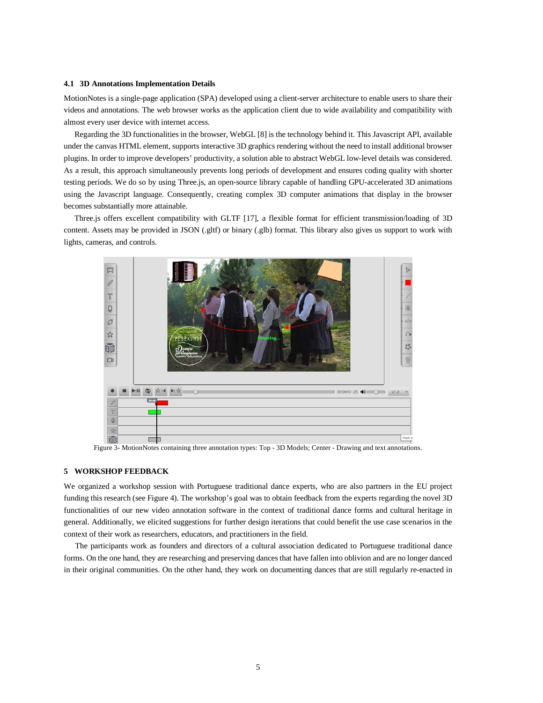#### **4.1 3D Annotations Implementation Details**

MotionNotes is a single-page application (SPA) developed using a client-server architecture to enable users to share their videos and annotations. The web browser works as the application client due to wide availability and compatibility with almost every user device with internet access.

Regarding the 3D functionalities in the browser, WebGL [8] is the technology behind it. This Javascript API, available under the canvas HTML element, supports interactive 3D graphics rendering without the need to install additional browser plugins. In order to improve developers' productivity, a solution able to abstract WebGL low-level details was considered. As a result, this approach simultaneously prevents long periods of development and ensures coding quality with shorter testing periods. We do so by using Three.js, an open-source library capable of handling GPU-accelerated 3D animations using the Javascript language. Consequently, creating complex 3D computer animations that display in the browser becomes substantially more attainable.

Three.js offers excellent compatibility with GLTF [17], a flexible format for efficient transmission/loading of 3D content. Assets may be provided in JSON (.gltf) or binary (.glb) format. This library also gives us support to work with lights, cameras, and controls.



Figure 3- MotionNotes containing three annotation types: Top - 3D Models; Center - Drawing and text annotations.

# **5 WORKSHOP FEEDBACK**

We organized a workshop session with Portuguese traditional dance experts, who are also partners in the EU project funding this research (see Figure 4). The workshop's goal was to obtain feedback from the experts regarding the novel 3D functionalities of our new video annotation software in the context of traditional dance forms and cultural heritage in general. Additionally, we elicited suggestions for further design iterations that could benefit the use case scenarios in the context of their work as researchers, educators, and practitioners in the field.

The participants work as founders and directors of a cultural association dedicated to Portuguese traditional dance forms. On the one hand, they are researching and preserving dances that have fallen into oblivion and are no longer danced in their original communities. On the other hand, they work on documenting dances that are still regularly re-enacted in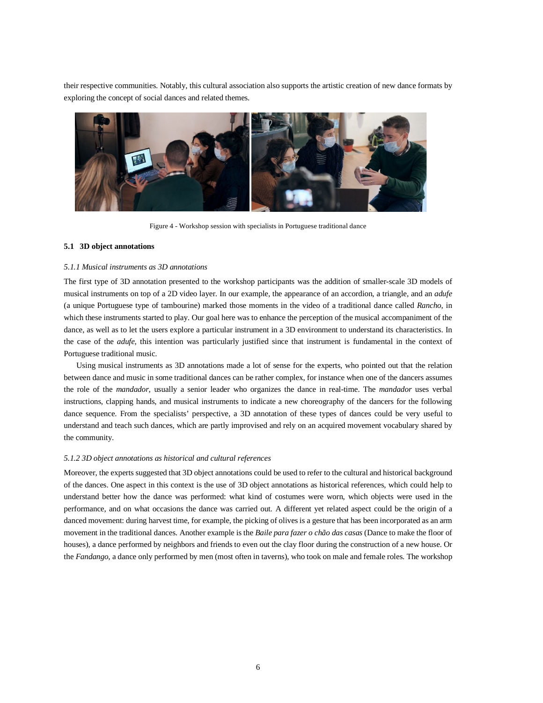their respective communities. Notably, this cultural association also supports the artistic creation of new dance formats by exploring the concept of social dances and related themes.



Figure 4 - Workshop session with specialists in Portuguese traditional dance

### **5.1 3D object annotations**

#### *5.1.1 Musical instruments as 3D annotations*

The first type of 3D annotation presented to the workshop participants was the addition of smaller-scale 3D models of musical instruments on top of a 2D video layer. In our example, the appearance of an accordion, a triangle, and an *adufe* (a unique Portuguese type of tambourine) marked those moments in the video of a traditional dance called *Rancho*, in which these instruments started to play. Our goal here was to enhance the perception of the musical accompaniment of the dance, as well as to let the users explore a particular instrument in a 3D environment to understand its characteristics. In the case of the *adufe,* this intention was particularly justified since that instrument is fundamental in the context of Portuguese traditional music.

Using musical instruments as 3D annotations made a lot of sense for the experts, who pointed out that the relation between dance and music in some traditional dances can be rather complex, for instance when one of the dancers assumes the role of the *mandador*, usually a senior leader who organizes the dance in real-time. The *mandador* uses verbal instructions, clapping hands, and musical instruments to indicate a new choreography of the dancers for the following dance sequence. From the specialists' perspective, a 3D annotation of these types of dances could be very useful to understand and teach such dances, which are partly improvised and rely on an acquired movement vocabulary shared by the community.

## *5.1.2 3D object annotations as historical and cultural references*

Moreover, the experts suggested that 3D object annotations could be used to refer to the cultural and historical background of the dances. One aspect in this context is the use of 3D object annotations as historical references, which could help to understand better how the dance was performed: what kind of costumes were worn, which objects were used in the performance, and on what occasions the dance was carried out. A different yet related aspect could be the origin of a danced movement: during harvest time, for example, the picking of olives is a gesture that has been incorporated as an arm movement in the traditional dances. Another example is the *Baile para fazer o chão das casas* (Dance to make the floor of houses), a dance performed by neighbors and friends to even out the clay floor during the construction of a new house. Or the *Fandango*, a dance only performed by men (most often in taverns), who took on male and female roles. The workshop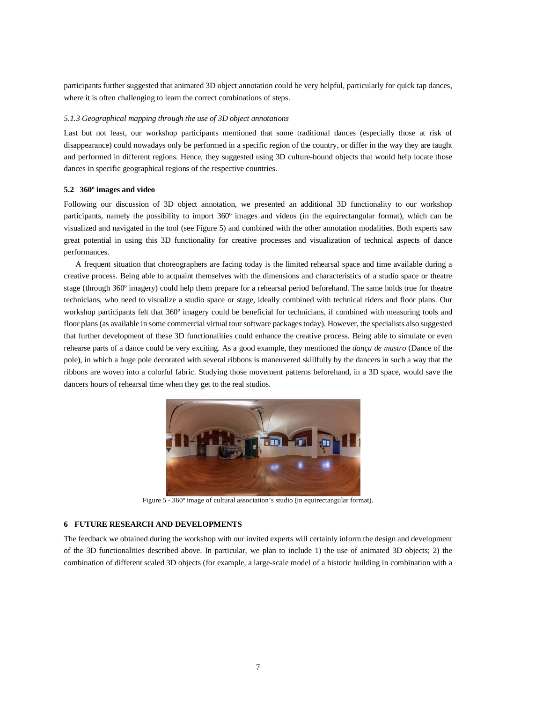participants further suggested that animated 3D object annotation could be very helpful, particularly for quick tap dances, where it is often challenging to learn the correct combinations of steps.

#### *5.1.3 Geographical mapping through the use of 3D object annotations*

Last but not least, our workshop participants mentioned that some traditional dances (especially those at risk of disappearance) could nowadays only be performed in a specific region of the country, or differ in the way they are taught and performed in different regions. Hence, they suggested using 3D culture-bound objects that would help locate those dances in specific geographical regions of the respective countries.

#### **5.2 360º images and video**

Following our discussion of 3D object annotation, we presented an additional 3D functionality to our workshop participants, namely the possibility to import 360º images and videos (in the equirectangular format), which can be visualized and navigated in the tool (see Figure 5) and combined with the other annotation modalities. Both experts saw great potential in using this 3D functionality for creative processes and visualization of technical aspects of dance performances.

A frequent situation that choreographers are facing today is the limited rehearsal space and time available during a creative process. Being able to acquaint themselves with the dimensions and characteristics of a studio space or theatre stage (through 360º imagery) could help them prepare for a rehearsal period beforehand. The same holds true for theatre technicians, who need to visualize a studio space or stage, ideally combined with technical riders and floor plans. Our workshop participants felt that 360º imagery could be beneficial for technicians, if combined with measuring tools and floor plans (as available in some commercial virtual tour software packages today). However, the specialists also suggested that further development of these 3D functionalities could enhance the creative process. Being able to simulate or even rehearse parts of a dance could be very exciting. As a good example, they mentioned the *dança de mastro* (Dance of the pole), in which a huge pole decorated with several ribbons is maneuvered skillfully by the dancers in such a way that the ribbons are woven into a colorful fabric. Studying those movement patterns beforehand, in a 3D space, would save the dancers hours of rehearsal time when they get to the real studios.



Figure 5 - 360º image of cultural association's studio (in equirectangular format).

#### **6 FUTURE RESEARCH AND DEVELOPMENTS**

The feedback we obtained during the workshop with our invited experts will certainly inform the design and development of the 3D functionalities described above. In particular, we plan to include 1) the use of animated 3D objects; 2) the combination of different scaled 3D objects (for example, a large-scale model of a historic building in combination with a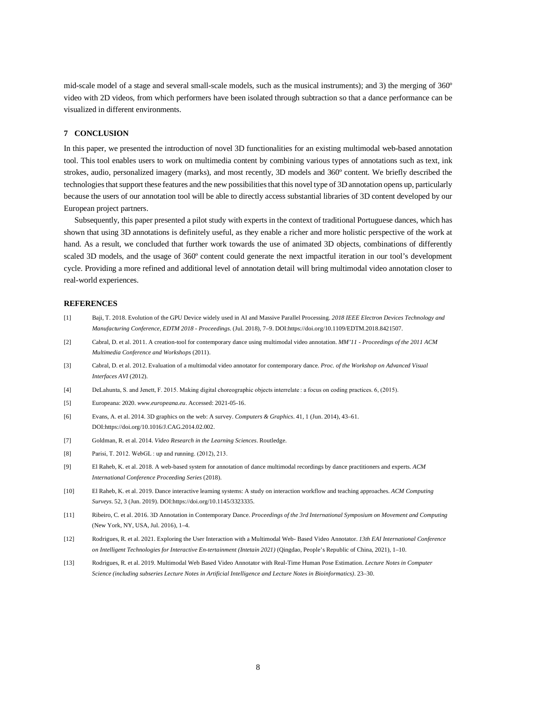mid-scale model of a stage and several small-scale models, such as the musical instruments); and 3) the merging of 360º video with 2D videos, from which performers have been isolated through subtraction so that a dance performance can be visualized in different environments.

## **7 CONCLUSION**

In this paper, we presented the introduction of novel 3D functionalities for an existing multimodal web-based annotation tool. This tool enables users to work on multimedia content by combining various types of annotations such as text, ink strokes, audio, personalized imagery (marks), and most recently, 3D models and 360º content. We briefly described the technologies that support these features and the new possibilities that this novel type of 3D annotation opens up, particularly because the users of our annotation tool will be able to directly access substantial libraries of 3D content developed by our European project partners.

Subsequently, this paper presented a pilot study with experts in the context of traditional Portuguese dances, which has shown that using 3D annotations is definitely useful, as they enable a richer and more holistic perspective of the work at hand. As a result, we concluded that further work towards the use of animated 3D objects, combinations of differently scaled 3D models, and the usage of 360º content could generate the next impactful iteration in our tool's development cycle. Providing a more refined and additional level of annotation detail will bring multimodal video annotation closer to real-world experiences.

# **REFERENCES**

- [1] Baji, T. 2018. Evolution of the GPU Device widely used in AI and Massive Parallel Processing. *2018 IEEE Electron Devices Technology and Manufacturing Conference, EDTM 2018 - Proceedings*. (Jul. 2018), 7–9. DOI:https://doi.org/10.1109/EDTM.2018.8421507.
- [2] Cabral, D. et al. 2011. A creation-tool for contemporary dance using multimodal video annotation. *MM'11 - Proceedings of the 2011 ACM Multimedia Conference and Workshops* (2011).
- [3] Cabral, D. et al. 2012. Evaluation of a multimodal video annotator for contemporary dance. *Proc. of the Workshop on Advanced Visual Interfaces AVI* (2012).
- [4] DeLahunta, S. and Jenett, F. 2015. Making digital choreographic objects interrelate : a focus on coding practices. 6, (2015).
- [5] Europeana: 2020. *www.europeana.eu*. Accessed: 2021-05-16.
- [6] Evans, A. et al. 2014. 3D graphics on the web: A survey. *Computers & Graphics*. 41, 1 (Jun. 2014), 43–61. DOI:https://doi.org/10.1016/J.CAG.2014.02.002.
- [7] Goldman, R. et al. 2014. *Video Research in the Learning Sciences*. Routledge.
- [8] Parisi, T. 2012. WebGL : up and running. (2012), 213.
- [9] El Raheb, K. et al. 2018. A web-based system for annotation of dance multimodal recordings by dance practitioners and experts. *ACM International Conference Proceeding Series* (2018).
- [10] El Raheb, K. et al. 2019. Dance interactive learning systems: A study on interaction workflow and teaching approaches. *ACM Computing Surveys*. 52, 3 (Jun. 2019). DOI:https://doi.org/10.1145/3323335.
- [11] Ribeiro, C. et al. 2016. 3D Annotation in Contemporary Dance. *Proceedings of the 3rd International Symposium on Movement and Computing* (New York, NY, USA, Jul. 2016), 1–4.
- [12] Rodrigues, R. et al. 2021. Exploring the User Interaction with a Multimodal Web- Based Video Annotator. *13th EAI International Conference on Intelligent Technologies for Interactive En-tertainment (Intetain 2021)* (Qingdao, People's Republic of China, 2021), 1–10.
- [13] Rodrigues, R. et al. 2019. Multimodal Web Based Video Annotator with Real-Time Human Pose Estimation. *Lecture Notes in Computer Science (including subseries Lecture Notes in Artificial Intelligence and Lecture Notes in Bioinformatics)*. 23–30.